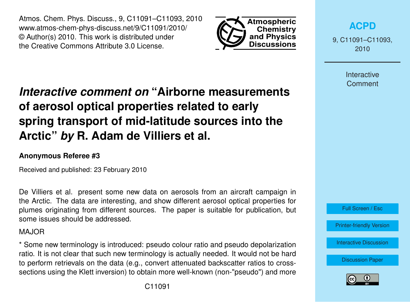Atmos. Chem. Phys. Discuss., 9, C11091–C11093, 2010 www.atmos-chem-phys-discuss.net/9/C11091/2010/ © Author(s) 2010. This work is distributed under the Creative Commons Attribute 3.0 License.



**[ACPD](http://www.atmos-chem-phys-discuss.net)**

9, C11091–C11093, 2010

> Interactive **Comment**

## *Interactive comment on* **"Airborne measurements of aerosol optical properties related to early spring transport of mid-latitude sources into the Arctic"** *by* **R. Adam de Villiers et al.**

## **Anonymous Referee #3**

Received and published: 23 February 2010

De Villiers et al. present some new data on aerosols from an aircraft campaign in the Arctic. The data are interesting, and show different aerosol optical properties for plumes originating from different sources. The paper is suitable for publication, but some issues should be addressed.

## MAJOR

\* Some new terminology is introduced: pseudo colour ratio and pseudo depolarization ratio. It is not clear that such new terminology is actually needed. It would not be hard to perform retrievals on the data (e.g., convert attenuated backscatter ratios to crosssections using the Klett inversion) to obtain more well-known (non-"pseudo") and more

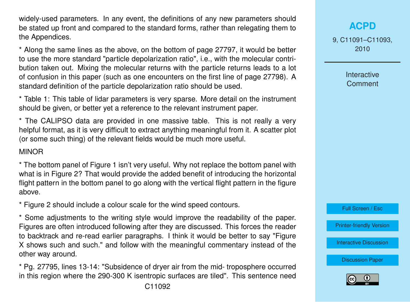widely-used parameters. In any event, the definitions of any new parameters should be stated up front and compared to the standard forms, rather than relegating them to the Appendices.

\* Along the same lines as the above, on the bottom of page 27797, it would be better to use the more standard "particle depolarization ratio", i.e., with the molecular contribution taken out. Mixing the molecular returns with the particle returns leads to a lot of confusion in this paper (such as one encounters on the first line of page 27798). A standard definition of the particle depolarization ratio should be used.

\* Table 1: This table of lidar parameters is very sparse. More detail on the instrument should be given, or better yet a reference to the relevant instrument paper.

\* The CALIPSO data are provided in one massive table. This is not really a very helpful format, as it is very difficult to extract anything meaningful from it. A scatter plot (or some such thing) of the relevant fields would be much more useful.

## MINOR

\* The bottom panel of Figure 1 isn't very useful. Why not replace the bottom panel with what is in Figure 2? That would provide the added benefit of introducing the horizontal flight pattern in the bottom panel to go along with the vertical flight pattern in the figure above.

\* Figure 2 should include a colour scale for the wind speed contours.

\* Some adjustments to the writing style would improve the readability of the paper. Figures are often introduced following after they are discussed. This forces the reader to backtrack and re-read earlier paragraphs. I think it would be better to say "Figure X shows such and such." and follow with the meaningful commentary instead of the other way around.

\* Pg. 27795, lines 13-14: "Subsidence of dryer air from the mid- troposphere occurred in this region where the 290-300 K isentropic surfaces are tiled". This sentence need 9, C11091–C11093, 2010

> Interactive **Comment**

Full Screen / Esc

[Printer-friendly Version](http://www.atmos-chem-phys-discuss.net/9/C11091/2010/acpd-9-C11091-2010-print.pdf)

[Interactive Discussion](http://www.atmos-chem-phys-discuss.net/9/27791/2009/acpd-9-27791-2009-discussion.html)

[Discussion Paper](http://www.atmos-chem-phys-discuss.net/9/27791/2009/acpd-9-27791-2009.pdf)